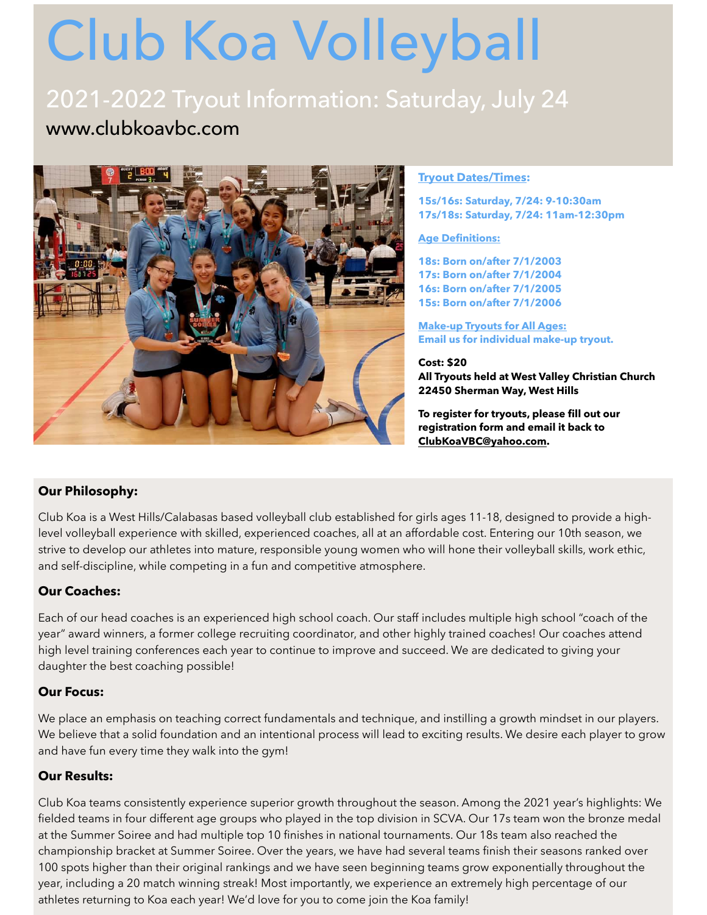# Club Koa Volleyball

### 2021-2022 Tryout Information: Saturday, July 24 www.clubkoavbc.com



#### **Tryout Dates/Times:**

**15s/16s: Saturday, 7/24: 9-10:30am 17s/18s: Saturday, 7/24: 11am-12:30pm** 

**Age Definitions:** 

**18s: Born on/after 7/1/2003 17s: Born on/after 7/1/2004 16s: Born on/after 7/1/2005 15s: Born on/after 7/1/2006** 

**Make-up Tryouts for All Ages: Email us for individual make-up tryout.**

**Cost: \$20 All Tryouts held at West Valley Christian Church 22450 Sherman Way, West Hills** 

**To register for tryouts, please fill out our registration form and email it back to [ClubKoaVBC@yahoo.com.](mailto:ClubKoaVBC@yahoo.com)**

#### **Our Philosophy:**

Club Koa is a West Hills/Calabasas based volleyball club established for girls ages 11-18, designed to provide a highlevel volleyball experience with skilled, experienced coaches, all at an affordable cost. Entering our 10th season, we strive to develop our athletes into mature, responsible young women who will hone their volleyball skills, work ethic, and self-discipline, while competing in a fun and competitive atmosphere.

#### **Our Coaches:**

Each of our head coaches is an experienced high school coach. Our staff includes multiple high school "coach of the year" award winners, a former college recruiting coordinator, and other highly trained coaches! Our coaches attend high level training conferences each year to continue to improve and succeed. We are dedicated to giving your daughter the best coaching possible!

#### **Our Focus:**

We place an emphasis on teaching correct fundamentals and technique, and instilling a growth mindset in our players. We believe that a solid foundation and an intentional process will lead to exciting results. We desire each player to grow and have fun every time they walk into the gym!

#### **Our Results:**

Club Koa teams consistently experience superior growth throughout the season. Among the 2021 year's highlights: We fielded teams in four different age groups who played in the top division in SCVA. Our 17s team won the bronze medal at the Summer Soiree and had multiple top 10 finishes in national tournaments. Our 18s team also reached the championship bracket at Summer Soiree. Over the years, we have had several teams finish their seasons ranked over 100 spots higher than their original rankings and we have seen beginning teams grow exponentially throughout the year, including a 20 match winning streak! Most importantly, we experience an extremely high percentage of our athletes returning to Koa each year! We'd love for you to come join the Koa family!